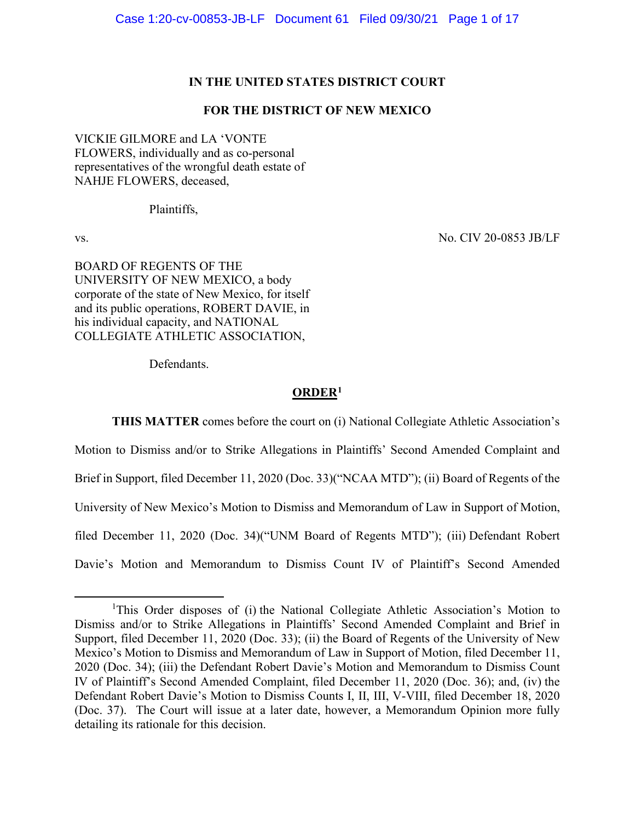### **IN THE UNITED STATES DISTRICT COURT**

# **FOR THE DISTRICT OF NEW MEXICO**

VICKIE GILMORE and LA 'VONTE FLOWERS, individually and as co-personal representatives of the wrongful death estate of NAHJE FLOWERS, deceased,

Plaintiffs,

vs. No. CIV 20-0853 JB/LF

BOARD OF REGENTS OF THE UNIVERSITY OF NEW MEXICO, a body corporate of the state of New Mexico, for itself and its public operations, ROBERT DAVIE, in his individual capacity, and NATIONAL COLLEGIATE ATHLETIC ASSOCIATION,

Defendants.

## **ORDER[1](#page-0-0)**

**THIS MATTER** comes before the court on (i) National Collegiate Athletic Association's Motion to Dismiss and/or to Strike Allegations in Plaintiffs' Second Amended Complaint and Brief in Support, filed December 11, 2020 (Doc. 33)("NCAA MTD"); (ii) Board of Regents of the University of New Mexico's Motion to Dismiss and Memorandum of Law in Support of Motion, filed December 11, 2020 (Doc. 34)("UNM Board of Regents MTD"); (iii) Defendant Robert Davie's Motion and Memorandum to Dismiss Count IV of Plaintiff's Second Amended

<span id="page-0-0"></span><sup>&</sup>lt;sup>1</sup>This Order disposes of (i) the National Collegiate Athletic Association's Motion to Dismiss and/or to Strike Allegations in Plaintiffs' Second Amended Complaint and Brief in Support, filed December 11, 2020 (Doc. 33); (ii) the Board of Regents of the University of New Mexico's Motion to Dismiss and Memorandum of Law in Support of Motion, filed December 11, 2020 (Doc. 34); (iii) the Defendant Robert Davie's Motion and Memorandum to Dismiss Count IV of Plaintiff's Second Amended Complaint, filed December 11, 2020 (Doc. 36); and, (iv) the Defendant Robert Davie's Motion to Dismiss Counts I, II, III, V-VIII, filed December 18, 2020 (Doc. 37). The Court will issue at a later date, however, a Memorandum Opinion more fully detailing its rationale for this decision.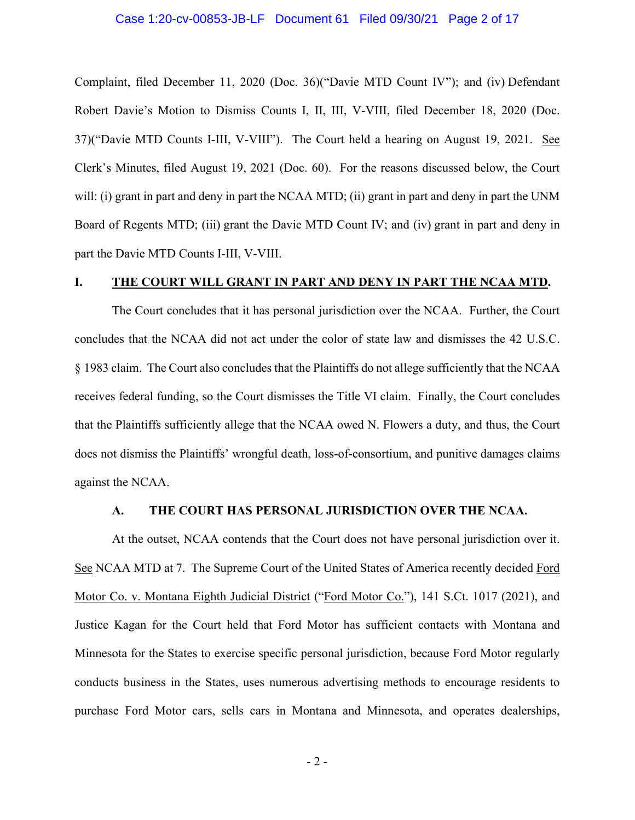#### Case 1:20-cv-00853-JB-LF Document 61 Filed 09/30/21 Page 2 of 17

Complaint, filed December 11, 2020 (Doc. 36)("Davie MTD Count IV"); and (iv) Defendant Robert Davie's Motion to Dismiss Counts I, II, III, V-VIII, filed December 18, 2020 (Doc. 37)("Davie MTD Counts I-III, V-VIII"). The Court held a hearing on August 19, 2021. See Clerk's Minutes, filed August 19, 2021 (Doc. 60). For the reasons discussed below, the Court will: (i) grant in part and deny in part the NCAA MTD; (ii) grant in part and deny in part the UNM Board of Regents MTD; (iii) grant the Davie MTD Count IV; and (iv) grant in part and deny in part the Davie MTD Counts I-III, V-VIII.

## **I. THE COURT WILL GRANT IN PART AND DENY IN PART THE NCAA MTD.**

The Court concludes that it has personal jurisdiction over the NCAA. Further, the Court concludes that the NCAA did not act under the color of state law and dismisses the 42 U.S.C. § 1983 claim. The Court also concludes that the Plaintiffs do not allege sufficiently that the NCAA receives federal funding, so the Court dismisses the Title VI claim. Finally, the Court concludes that the Plaintiffs sufficiently allege that the NCAA owed N. Flowers a duty, and thus, the Court does not dismiss the Plaintiffs' wrongful death, loss-of-consortium, and punitive damages claims against the NCAA.

#### **A. THE COURT HAS PERSONAL JURISDICTION OVER THE NCAA.**

At the outset, NCAA contends that the Court does not have personal jurisdiction over it. See NCAA MTD at 7. The Supreme Court of the United States of America recently decided Ford Motor Co. v. Montana Eighth Judicial District ("Ford Motor Co."), 141 S.Ct. 1017 (2021), and Justice Kagan for the Court held that Ford Motor has sufficient contacts with Montana and Minnesota for the States to exercise specific personal jurisdiction, because Ford Motor regularly conducts business in the States, uses numerous advertising methods to encourage residents to purchase Ford Motor cars, sells cars in Montana and Minnesota, and operates dealerships,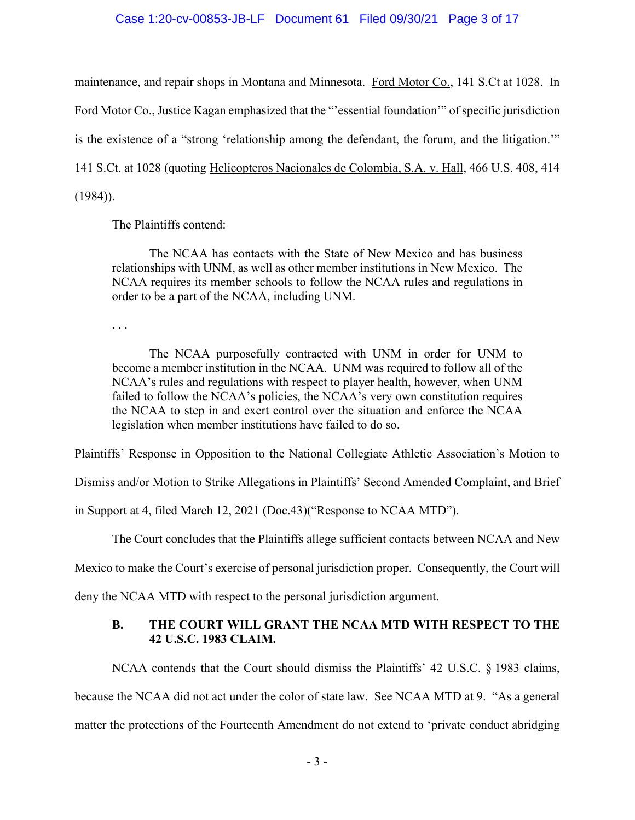### Case 1:20-cv-00853-JB-LF Document 61 Filed 09/30/21 Page 3 of 17

maintenance, and repair shops in Montana and Minnesota. Ford Motor Co., 141 S.Ct at 1028. In Ford Motor Co., Justice Kagan emphasized that the "'essential foundation'" of specific jurisdiction is the existence of a "strong 'relationship among the defendant, the forum, and the litigation.'" 141 S.Ct. at 1028 (quoting Helicopteros Nacionales de Colombia, S.A. v. Hall, 466 U.S. 408, 414 (1984)).

The Plaintiffs contend:

The NCAA has contacts with the State of New Mexico and has business relationships with UNM, as well as other member institutions in New Mexico. The NCAA requires its member schools to follow the NCAA rules and regulations in order to be a part of the NCAA, including UNM.

. . .

The NCAA purposefully contracted with UNM in order for UNM to become a member institution in the NCAA. UNM was required to follow all of the NCAA's rules and regulations with respect to player health, however, when UNM failed to follow the NCAA's policies, the NCAA's very own constitution requires the NCAA to step in and exert control over the situation and enforce the NCAA legislation when member institutions have failed to do so.

Plaintiffs' Response in Opposition to the National Collegiate Athletic Association's Motion to

Dismiss and/or Motion to Strike Allegations in Plaintiffs' Second Amended Complaint, and Brief

in Support at 4, filed March 12, 2021 (Doc.43)("Response to NCAA MTD").

The Court concludes that the Plaintiffs allege sufficient contacts between NCAA and New

Mexico to make the Court's exercise of personal jurisdiction proper. Consequently, the Court will

deny the NCAA MTD with respect to the personal jurisdiction argument.

# **B. THE COURT WILL GRANT THE NCAA MTD WITH RESPECT TO THE 42 U.S.C. 1983 CLAIM.**

NCAA contends that the Court should dismiss the Plaintiffs' 42 U.S.C. § 1983 claims, because the NCAA did not act under the color of state law. See NCAA MTD at 9. "As a general matter the protections of the Fourteenth Amendment do not extend to 'private conduct abridging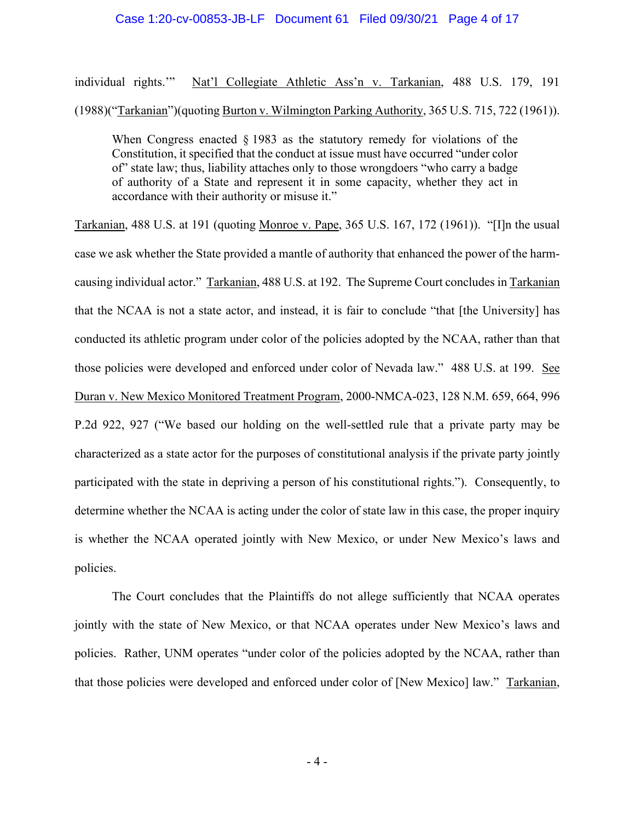#### Case 1:20-cv-00853-JB-LF Document 61 Filed 09/30/21 Page 4 of 17

individual rights.'" Nat'l Collegiate Athletic Ass'n v. Tarkanian, 488 U.S. 179, 191 (1988)("Tarkanian")(quoting Burton v. Wilmington Parking Authority, 365 U.S. 715, 722 (1961)).

When Congress enacted § 1983 as the statutory remedy for violations of the Constitution, it specified that the conduct at issue must have occurred "under color of" state law; thus, liability attaches only to those wrongdoers "who carry a badge of authority of a State and represent it in some capacity, whether they act in accordance with their authority or misuse it."

Tarkanian, 488 U.S. at 191 (quoting Monroe v. Pape, 365 U.S. 167, 172 (1961)). "[I]n the usual case we ask whether the State provided a mantle of authority that enhanced the power of the harmcausing individual actor." Tarkanian, 488 U.S. at 192. The Supreme Court concludes in Tarkanian that the NCAA is not a state actor, and instead, it is fair to conclude "that [the University] has conducted its athletic program under color of the policies adopted by the NCAA, rather than that those policies were developed and enforced under color of Nevada law." 488 U.S. at 199. See Duran v. New Mexico Monitored Treatment Program, 2000-NMCA-023, 128 N.M. 659, 664, 996 P.2d 922, 927 ("We based our holding on the well-settled rule that a private party may be characterized as a state actor for the purposes of constitutional analysis if the private party jointly participated with the state in depriving a person of his constitutional rights."). Consequently, to determine whether the NCAA is acting under the color of state law in this case, the proper inquiry is whether the NCAA operated jointly with New Mexico, or under New Mexico's laws and policies.

The Court concludes that the Plaintiffs do not allege sufficiently that NCAA operates jointly with the state of New Mexico, or that NCAA operates under New Mexico's laws and policies. Rather, UNM operates "under color of the policies adopted by the NCAA, rather than that those policies were developed and enforced under color of [New Mexico] law." Tarkanian,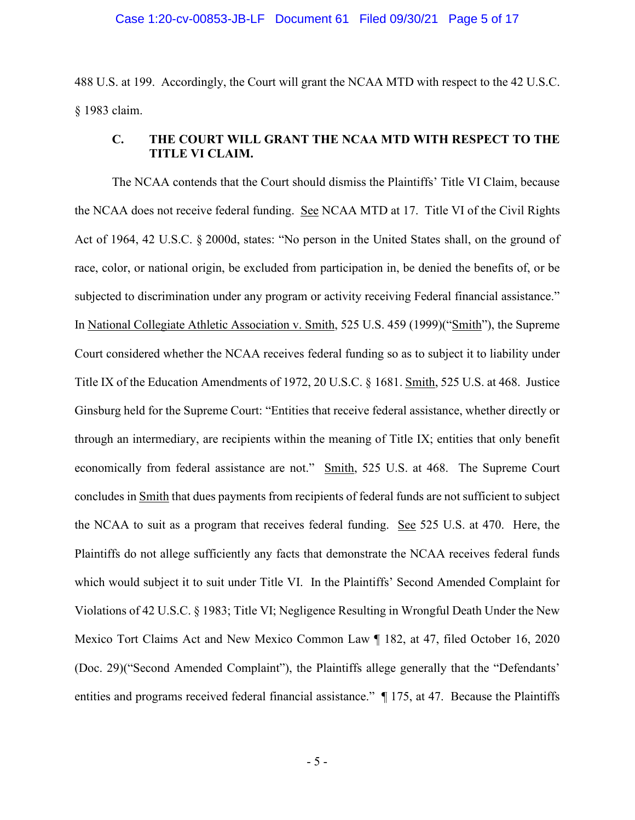488 U.S. at 199. Accordingly, the Court will grant the NCAA MTD with respect to the 42 U.S.C. § 1983 claim.

# **C. THE COURT WILL GRANT THE NCAA MTD WITH RESPECT TO THE TITLE VI CLAIM.**

The NCAA contends that the Court should dismiss the Plaintiffs' Title VI Claim, because the NCAA does not receive federal funding. See NCAA MTD at 17. Title VI of the Civil Rights Act of 1964, 42 U.S.C. § 2000d, states: "No person in the United States shall, on the ground of race, color, or national origin, be excluded from participation in, be denied the benefits of, or be subjected to discrimination under any program or activity receiving Federal financial assistance." In National Collegiate Athletic Association v. Smith, 525 U.S. 459 (1999)("Smith"), the Supreme Court considered whether the NCAA receives federal funding so as to subject it to liability under Title IX of the Education Amendments of 1972, 20 U.S.C. § 1681. Smith, 525 U.S. at 468. Justice Ginsburg held for the Supreme Court: "Entities that receive federal assistance, whether directly or through an intermediary, are recipients within the meaning of Title IX; entities that only benefit economically from federal assistance are not." Smith, 525 U.S. at 468. The Supreme Court concludes in Smith that dues payments from recipients of federal funds are not sufficient to subject the NCAA to suit as a program that receives federal funding. See 525 U.S. at 470. Here, the Plaintiffs do not allege sufficiently any facts that demonstrate the NCAA receives federal funds which would subject it to suit under Title VI. In the Plaintiffs' Second Amended Complaint for Violations of 42 U.S.C. § 1983; Title VI; Negligence Resulting in Wrongful Death Under the New Mexico Tort Claims Act and New Mexico Common Law ¶ 182, at 47, filed October 16, 2020 (Doc. 29)("Second Amended Complaint"), the Plaintiffs allege generally that the "Defendants' entities and programs received federal financial assistance."  $\parallel$  175, at 47. Because the Plaintiffs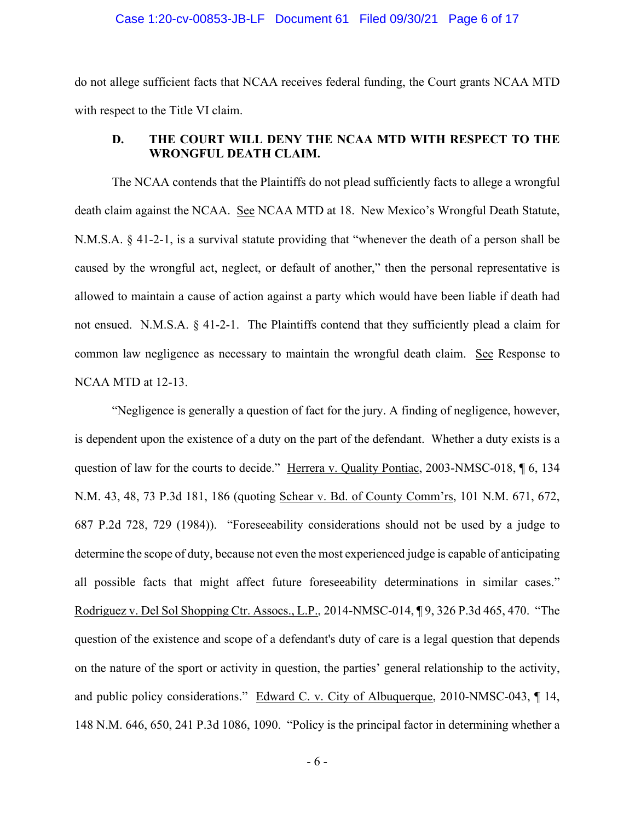## Case 1:20-cv-00853-JB-LF Document 61 Filed 09/30/21 Page 6 of 17

do not allege sufficient facts that NCAA receives federal funding, the Court grants NCAA MTD with respect to the Title VI claim.

# **D. THE COURT WILL DENY THE NCAA MTD WITH RESPECT TO THE WRONGFUL DEATH CLAIM.**

The NCAA contends that the Plaintiffs do not plead sufficiently facts to allege a wrongful death claim against the NCAA. See NCAA MTD at 18. New Mexico's Wrongful Death Statute, N.M.S.A. § 41-2-1, is a survival statute providing that "whenever the death of a person shall be caused by the wrongful act, neglect, or default of another," then the personal representative is allowed to maintain a cause of action against a party which would have been liable if death had not ensued. N.M.S.A. § 41-2-1. The Plaintiffs contend that they sufficiently plead a claim for common law negligence as necessary to maintain the wrongful death claim. See Response to NCAA MTD at 12-13.

"Negligence is generally a question of fact for the jury. A finding of negligence, however, is dependent upon the existence of a duty on the part of the defendant. Whether a duty exists is a question of law for the courts to decide." Herrera v. Quality Pontiac, 2003-NMSC-018, ¶ 6, 134 N.M. 43, 48, 73 P.3d 181, 186 (quoting Schear v. Bd. of County Comm'rs, 101 N.M. 671, 672, 687 P.2d 728, 729 (1984)). "Foreseeability considerations should not be used by a judge to determine the scope of duty, because not even the most experienced judge is capable of anticipating all possible facts that might affect future foreseeability determinations in similar cases." Rodriguez v. Del Sol Shopping Ctr. Assocs., L.P., 2014-NMSC-014, ¶ 9, 326 P.3d 465, 470. "The question of the existence and scope of a defendant's duty of care is a legal question that depends on the nature of the sport or activity in question, the parties' general relationship to the activity, and public policy considerations." Edward C. v. City of Albuquerque, 2010-NMSC-043, ¶ 14, 148 N.M. 646, 650, 241 P.3d 1086, 1090. "Policy is the principal factor in determining whether a

- 6 -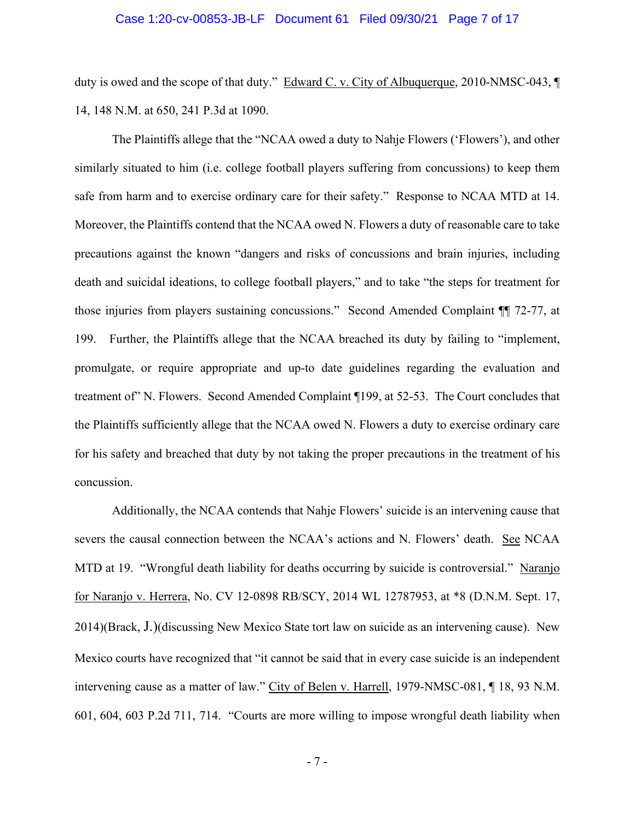#### Case 1:20-cv-00853-JB-LF Document 61 Filed 09/30/21 Page 7 of 17

duty is owed and the scope of that duty." Edward C. v. City of Albuquerque, 2010-NMSC-043, ¶ 14, 148 N.M. at 650, 241 P.3d at 1090.

The Plaintiffs allege that the "NCAA owed a duty to Nahje Flowers ('Flowers'), and other similarly situated to him (i.e. college football players suffering from concussions) to keep them safe from harm and to exercise ordinary care for their safety." Response to NCAA MTD at 14. Moreover, the Plaintiffs contend that the NCAA owed N. Flowers a duty of reasonable care to take precautions against the known "dangers and risks of concussions and brain injuries, including death and suicidal ideations, to college football players," and to take "the steps for treatment for those injuries from players sustaining concussions." Second Amended Complaint ¶¶ 72-77, at 199. Further, the Plaintiffs allege that the NCAA breached its duty by failing to "implement, promulgate, or require appropriate and up-to date guidelines regarding the evaluation and treatment of" N. Flowers. Second Amended Complaint ¶199, at 52-53. The Court concludes that the Plaintiffs sufficiently allege that the NCAA owed N. Flowers a duty to exercise ordinary care for his safety and breached that duty by not taking the proper precautions in the treatment of his concussion.

Additionally, the NCAA contends that Nahje Flowers' suicide is an intervening cause that severs the causal connection between the NCAA's actions and N. Flowers' death. See NCAA MTD at 19. "Wrongful death liability for deaths occurring by suicide is controversial." Naranjo for Naranjo v. Herrera, No. CV 12-0898 RB/SCY, 2014 WL 12787953, at \*8 (D.N.M. Sept. 17, 2014)(Brack, J.)(discussing New Mexico State tort law on suicide as an intervening cause). New Mexico courts have recognized that "it cannot be said that in every case suicide is an independent intervening cause as a matter of law." City of Belen v. Harrell, 1979-NMSC-081, ¶ 18, 93 N.M. 601, 604, 603 P.2d 711, 714. "Courts are more willing to impose wrongful death liability when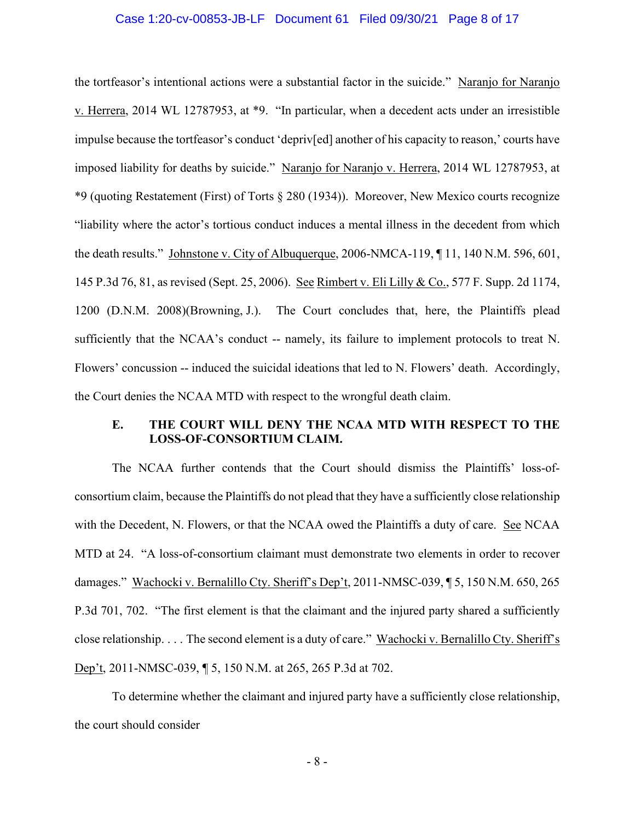#### Case 1:20-cv-00853-JB-LF Document 61 Filed 09/30/21 Page 8 of 17

the tortfeasor's intentional actions were a substantial factor in the suicide." Naranjo for Naranjo v. Herrera, 2014 WL 12787953, at \*9. "In particular, when a decedent acts under an irresistible impulse because the tortfeasor's conduct 'depriv[ed] another of his capacity to reason,' courts have imposed liability for deaths by suicide." Naranjo for Naranjo v. Herrera, 2014 WL 12787953, at \*9 (quoting Restatement (First) of Torts § 280 (1934)). Moreover, New Mexico courts recognize "liability where the actor's tortious conduct induces a mental illness in the decedent from which the death results." Johnstone v. City of Albuquerque, 2006-NMCA-119, ¶ 11, 140 N.M. 596, 601, 145 P.3d 76, 81, as revised (Sept. 25, 2006). See Rimbert v. Eli Lilly & Co., 577 F. Supp. 2d 1174, 1200 (D.N.M. 2008)(Browning, J.). The Court concludes that, here, the Plaintiffs plead sufficiently that the NCAA's conduct -- namely, its failure to implement protocols to treat N. Flowers' concussion -- induced the suicidal ideations that led to N. Flowers' death. Accordingly, the Court denies the NCAA MTD with respect to the wrongful death claim.

## **E. THE COURT WILL DENY THE NCAA MTD WITH RESPECT TO THE LOSS-OF-CONSORTIUM CLAIM.**

The NCAA further contends that the Court should dismiss the Plaintiffs' loss-ofconsortium claim, because the Plaintiffs do not plead that they have a sufficiently close relationship with the Decedent, N. Flowers, or that the NCAA owed the Plaintiffs a duty of care. See NCAA MTD at 24. "A loss-of-consortium claimant must demonstrate two elements in order to recover damages." Wachocki v. Bernalillo Cty. Sheriff's Dep't, 2011-NMSC-039, ¶ 5, 150 N.M. 650, 265 P.3d 701, 702. "The first element is that the claimant and the injured party shared a sufficiently close relationship. . . . The second element is a duty of care." Wachocki v. Bernalillo Cty. Sheriff's Dep't, 2011-NMSC-039, ¶ 5, 150 N.M. at 265, 265 P.3d at 702.

To determine whether the claimant and injured party have a sufficiently close relationship, the court should consider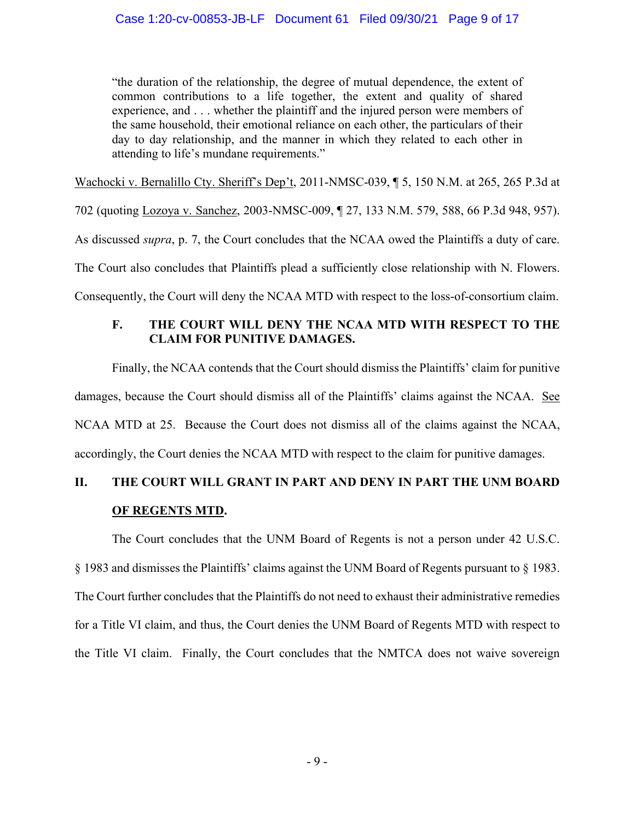"the duration of the relationship, the degree of mutual dependence, the extent of common contributions to a life together, the extent and quality of shared experience, and . . . whether the plaintiff and the injured person were members of the same household, their emotional reliance on each other, the particulars of their day to day relationship, and the manner in which they related to each other in attending to life's mundane requirements."

Wachocki v. Bernalillo Cty. Sheriff's Dep't, 2011-NMSC-039, ¶ 5, 150 N.M. at 265, 265 P.3d at

702 (quoting Lozoya v. Sanchez, 2003-NMSC-009, ¶ 27, 133 N.M. 579, 588, 66 P.3d 948, 957).

As discussed *supra*, p. 7, the Court concludes that the NCAA owed the Plaintiffs a duty of care.

The Court also concludes that Plaintiffs plead a sufficiently close relationship with N. Flowers.

Consequently, the Court will deny the NCAA MTD with respect to the loss-of-consortium claim.

# **F. THE COURT WILL DENY THE NCAA MTD WITH RESPECT TO THE CLAIM FOR PUNITIVE DAMAGES.**

Finally, the NCAA contends that the Court should dismiss the Plaintiffs' claim for punitive damages, because the Court should dismiss all of the Plaintiffs' claims against the NCAA. See NCAA MTD at 25. Because the Court does not dismiss all of the claims against the NCAA, accordingly, the Court denies the NCAA MTD with respect to the claim for punitive damages.

# **II. THE COURT WILL GRANT IN PART AND DENY IN PART THE UNM BOARD OF REGENTS MTD.**

The Court concludes that the UNM Board of Regents is not a person under 42 U.S.C. § 1983 and dismisses the Plaintiffs' claims against the UNM Board of Regents pursuant to § 1983. The Court further concludes that the Plaintiffs do not need to exhaust their administrative remedies for a Title VI claim, and thus, the Court denies the UNM Board of Regents MTD with respect to the Title VI claim. Finally, the Court concludes that the NMTCA does not waive sovereign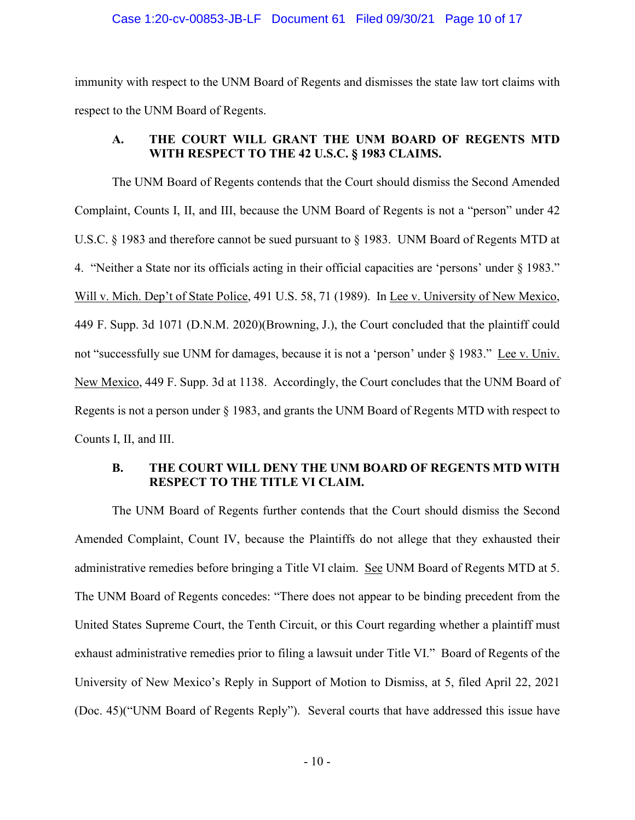#### Case 1:20-cv-00853-JB-LF Document 61 Filed 09/30/21 Page 10 of 17

immunity with respect to the UNM Board of Regents and dismisses the state law tort claims with respect to the UNM Board of Regents.

# **A. THE COURT WILL GRANT THE UNM BOARD OF REGENTS MTD WITH RESPECT TO THE 42 U.S.C. § 1983 CLAIMS.**

The UNM Board of Regents contends that the Court should dismiss the Second Amended Complaint, Counts I, II, and III, because the UNM Board of Regents is not a "person" under 42 U.S.C. § 1983 and therefore cannot be sued pursuant to § 1983. UNM Board of Regents MTD at 4. "Neither a State nor its officials acting in their official capacities are 'persons' under § 1983." Will v. Mich. Dep't of State Police, 491 U.S. 58, 71 (1989). In Lee v. University of New Mexico, 449 F. Supp. 3d 1071 (D.N.M. 2020)(Browning, J.), the Court concluded that the plaintiff could not "successfully sue UNM for damages, because it is not a 'person' under § 1983." Lee v. Univ. New Mexico, 449 F. Supp. 3d at 1138. Accordingly, the Court concludes that the UNM Board of Regents is not a person under § 1983, and grants the UNM Board of Regents MTD with respect to Counts I, II, and III.

# **B. THE COURT WILL DENY THE UNM BOARD OF REGENTS MTD WITH RESPECT TO THE TITLE VI CLAIM.**

The UNM Board of Regents further contends that the Court should dismiss the Second Amended Complaint, Count IV, because the Plaintiffs do not allege that they exhausted their administrative remedies before bringing a Title VI claim. See UNM Board of Regents MTD at 5. The UNM Board of Regents concedes: "There does not appear to be binding precedent from the United States Supreme Court, the Tenth Circuit, or this Court regarding whether a plaintiff must exhaust administrative remedies prior to filing a lawsuit under Title VI." Board of Regents of the University of New Mexico's Reply in Support of Motion to Dismiss, at 5, filed April 22, 2021 (Doc. 45)("UNM Board of Regents Reply"). Several courts that have addressed this issue have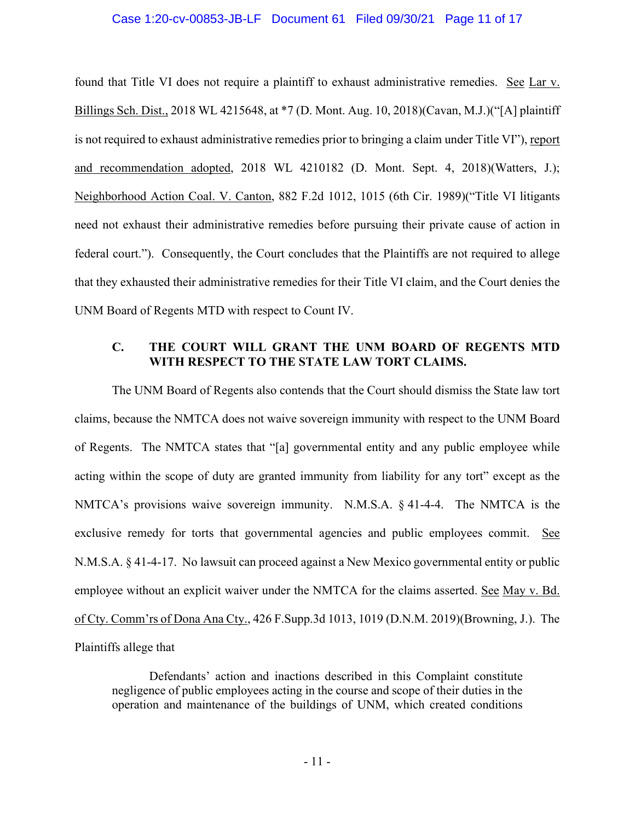#### Case 1:20-cv-00853-JB-LF Document 61 Filed 09/30/21 Page 11 of 17

found that Title VI does not require a plaintiff to exhaust administrative remedies. See Lar v. Billings Sch. Dist., 2018 WL 4215648, at \*7 (D. Mont. Aug. 10, 2018)(Cavan, M.J.)("[A] plaintiff is not required to exhaust administrative remedies prior to bringing a claim under Title VI"), report and recommendation adopted, 2018 WL 4210182 (D. Mont. Sept. 4, 2018)(Watters, J.); Neighborhood Action Coal. V. Canton, 882 F.2d 1012, 1015 (6th Cir. 1989)("Title VI litigants need not exhaust their administrative remedies before pursuing their private cause of action in federal court."). Consequently, the Court concludes that the Plaintiffs are not required to allege that they exhausted their administrative remedies for their Title VI claim, and the Court denies the UNM Board of Regents MTD with respect to Count IV.

# **C. THE COURT WILL GRANT THE UNM BOARD OF REGENTS MTD WITH RESPECT TO THE STATE LAW TORT CLAIMS.**

The UNM Board of Regents also contends that the Court should dismiss the State law tort claims, because the NMTCA does not waive sovereign immunity with respect to the UNM Board of Regents. The NMTCA states that "[a] governmental entity and any public employee while acting within the scope of duty are granted immunity from liability for any tort" except as the NMTCA's provisions waive sovereign immunity. N.M.S.A. § 41-4-4. The NMTCA is the exclusive remedy for torts that governmental agencies and public employees commit. See N.M.S.A. § 41-4-17. No lawsuit can proceed against a New Mexico governmental entity or public employee without an explicit waiver under the NMTCA for the claims asserted. See May v. Bd. of Cty. Comm'rs of Dona Ana Cty., 426 F.Supp.3d 1013, 1019 (D.N.M. 2019)(Browning, J.). The Plaintiffs allege that

Defendants' action and inactions described in this Complaint constitute negligence of public employees acting in the course and scope of their duties in the operation and maintenance of the buildings of UNM, which created conditions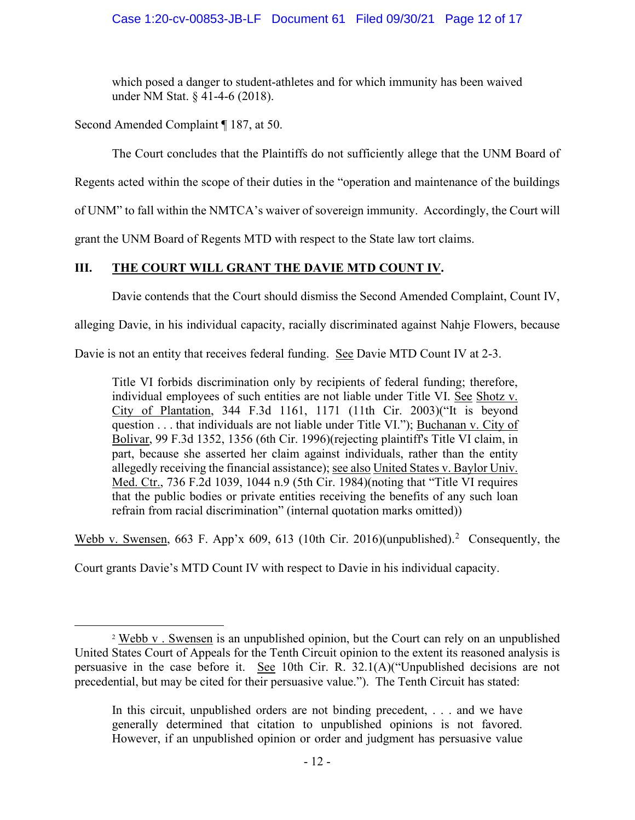## Case 1:20-cv-00853-JB-LF Document 61 Filed 09/30/21 Page 12 of 17

which posed a danger to student-athletes and for which immunity has been waived under NM Stat. § 41-4-6 (2018).

Second Amended Complaint ¶ 187, at 50.

The Court concludes that the Plaintiffs do not sufficiently allege that the UNM Board of

Regents acted within the scope of their duties in the "operation and maintenance of the buildings

of UNM" to fall within the NMTCA's waiver of sovereign immunity. Accordingly, the Court will

grant the UNM Board of Regents MTD with respect to the State law tort claims.

# **III. THE COURT WILL GRANT THE DAVIE MTD COUNT IV.**

Davie contends that the Court should dismiss the Second Amended Complaint, Count IV,

alleging Davie, in his individual capacity, racially discriminated against Nahje Flowers, because

Davie is not an entity that receives federal funding. See Davie MTD Count IV at 2-3.

Title VI forbids discrimination only by recipients of federal funding; therefore, individual employees of such entities are not liable under Title VI. See Shotz v. City of Plantation, 344 F.3d 1161, 1171 (11th Cir. 2003)("It is beyond question . . . that individuals are not liable under Title VI."); Buchanan v. City of Bolivar, 99 F.3d 1352, 1356 (6th Cir. 1996)(rejecting plaintiff's Title VI claim, in part, because she asserted her claim against individuals, rather than the entity allegedly receiving the financial assistance); see also United States v. Baylor Univ. Med. Ctr., 736 F.2d 1039, 1044 n.9 (5th Cir. 1984)(noting that "Title VI requires that the public bodies or private entities receiving the benefits of any such loan refrain from racial discrimination" (internal quotation marks omitted))

Webb v. Swensen, 663 F. App'x 609, 613 (10th Cir. [2](#page-11-0)016)(unpublished).<sup>2</sup> Consequently, the

Court grants Davie's MTD Count IV with respect to Davie in his individual capacity.

<span id="page-11-0"></span><sup>2</sup> Webb v . Swensen is an unpublished opinion, but the Court can rely on an unpublished United States Court of Appeals for the Tenth Circuit opinion to the extent its reasoned analysis is persuasive in the case before it. See 10th Cir. R. 32.1(A)("Unpublished decisions are not precedential, but may be cited for their persuasive value."). The Tenth Circuit has stated:

In this circuit, unpublished orders are not binding precedent, . . . and we have generally determined that citation to unpublished opinions is not favored. However, if an unpublished opinion or order and judgment has persuasive value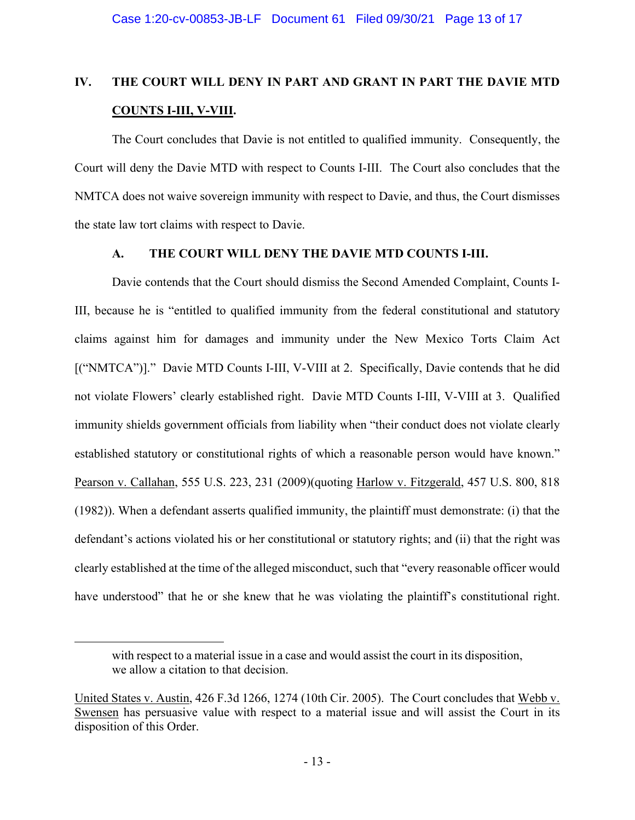# **IV. THE COURT WILL DENY IN PART AND GRANT IN PART THE DAVIE MTD COUNTS I-III, V-VIII.**

The Court concludes that Davie is not entitled to qualified immunity. Consequently, the Court will deny the Davie MTD with respect to Counts I-III. The Court also concludes that the NMTCA does not waive sovereign immunity with respect to Davie, and thus, the Court dismisses the state law tort claims with respect to Davie.

## **A. THE COURT WILL DENY THE DAVIE MTD COUNTS I-III.**

Davie contends that the Court should dismiss the Second Amended Complaint, Counts I-III, because he is "entitled to qualified immunity from the federal constitutional and statutory claims against him for damages and immunity under the New Mexico Torts Claim Act [("NMTCA")]." Davie MTD Counts I-III, V-VIII at 2. Specifically, Davie contends that he did not violate Flowers' clearly established right. Davie MTD Counts I-III, V-VIII at 3. Qualified immunity shields government officials from liability when "their conduct does not violate clearly established statutory or constitutional rights of which a reasonable person would have known." Pearson v. Callahan, 555 U.S. 223, 231 (2009)(quoting Harlow v. Fitzgerald, 457 U.S. 800, 818 (1982)). When a defendant asserts qualified immunity, the plaintiff must demonstrate: (i) that the defendant's actions violated his or her constitutional or statutory rights; and (ii) that the right was clearly established at the time of the alleged misconduct, such that "every reasonable officer would have understood" that he or she knew that he was violating the plaintiff's constitutional right.

with respect to a material issue in a case and would assist the court in its disposition, we allow a citation to that decision.

United States v. Austin, 426 F.3d 1266, 1274 (10th Cir. 2005). The Court concludes that Webb v. Swensen has persuasive value with respect to a material issue and will assist the Court in its disposition of this Order.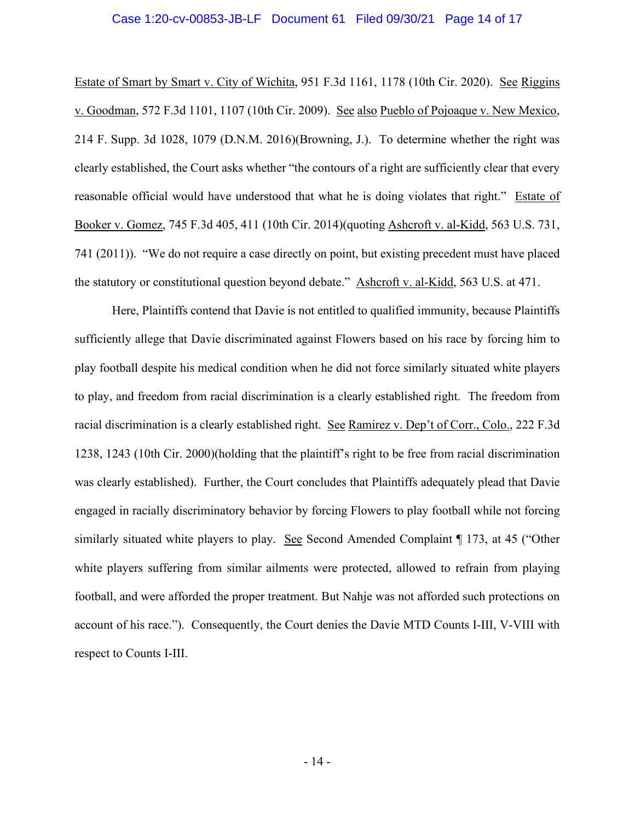#### Case 1:20-cv-00853-JB-LF Document 61 Filed 09/30/21 Page 14 of 17

Estate of Smart by Smart v. City of Wichita, 951 F.3d 1161, 1178 (10th Cir. 2020). See Riggins v. Goodman, 572 F.3d 1101, 1107 (10th Cir. 2009). See also Pueblo of Pojoaque v. New Mexico, 214 F. Supp. 3d 1028, 1079 (D.N.M. 2016)(Browning, J.). To determine whether the right was clearly established, the Court asks whether "the contours of a right are sufficiently clear that every reasonable official would have understood that what he is doing violates that right." Estate of Booker v. Gomez, 745 F.3d 405, 411 (10th Cir. 2014)(quoting Ashcroft v. al-Kidd, 563 U.S. 731, 741 (2011)). "We do not require a case directly on point, but existing precedent must have placed the statutory or constitutional question beyond debate." Ashcroft v. al-Kidd, 563 U.S. at 471.

Here, Plaintiffs contend that Davie is not entitled to qualified immunity, because Plaintiffs sufficiently allege that Davie discriminated against Flowers based on his race by forcing him to play football despite his medical condition when he did not force similarly situated white players to play, and freedom from racial discrimination is a clearly established right. The freedom from racial discrimination is a clearly established right. See Ramirez v. Dep't of Corr., Colo., 222 F.3d 1238, 1243 (10th Cir. 2000)(holding that the plaintiff's right to be free from racial discrimination was clearly established). Further, the Court concludes that Plaintiffs adequately plead that Davie engaged in racially discriminatory behavior by forcing Flowers to play football while not forcing similarly situated white players to play. See Second Amended Complaint ¶ 173, at 45 ("Other white players suffering from similar ailments were protected, allowed to refrain from playing football, and were afforded the proper treatment. But Nahje was not afforded such protections on account of his race."). Consequently, the Court denies the Davie MTD Counts I-III, V-VIII with respect to Counts I-III.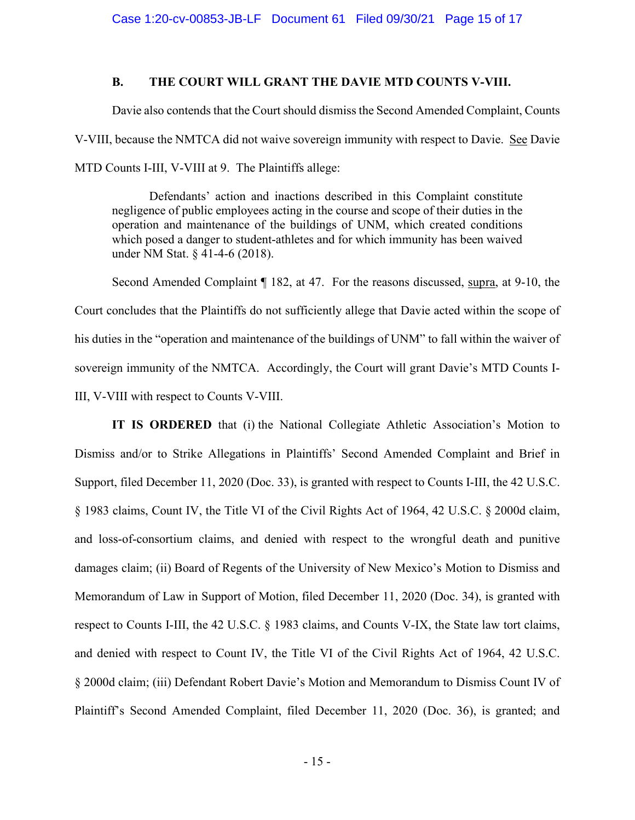## **B. THE COURT WILL GRANT THE DAVIE MTD COUNTS V-VIII.**

Davie also contends that the Court should dismiss the Second Amended Complaint, Counts V-VIII, because the NMTCA did not waive sovereign immunity with respect to Davie. See Davie MTD Counts I-III, V-VIII at 9. The Plaintiffs allege:

Defendants' action and inactions described in this Complaint constitute negligence of public employees acting in the course and scope of their duties in the operation and maintenance of the buildings of UNM, which created conditions which posed a danger to student-athletes and for which immunity has been waived under NM Stat. § 41-4-6 (2018).

Second Amended Complaint ¶ 182, at 47. For the reasons discussed, supra, at 9-10, the Court concludes that the Plaintiffs do not sufficiently allege that Davie acted within the scope of his duties in the "operation and maintenance of the buildings of UNM" to fall within the waiver of sovereign immunity of the NMTCA. Accordingly, the Court will grant Davie's MTD Counts I-III, V-VIII with respect to Counts V-VIII.

**IT IS ORDERED** that (i) the National Collegiate Athletic Association's Motion to Dismiss and/or to Strike Allegations in Plaintiffs' Second Amended Complaint and Brief in Support, filed December 11, 2020 (Doc. 33), is granted with respect to Counts I-III, the 42 U.S.C. § 1983 claims, Count IV, the Title VI of the Civil Rights Act of 1964, 42 U.S.C. § 2000d claim, and loss-of-consortium claims, and denied with respect to the wrongful death and punitive damages claim; (ii) Board of Regents of the University of New Mexico's Motion to Dismiss and Memorandum of Law in Support of Motion, filed December 11, 2020 (Doc. 34), is granted with respect to Counts I-III, the 42 U.S.C. § 1983 claims, and Counts V-IX, the State law tort claims, and denied with respect to Count IV, the Title VI of the Civil Rights Act of 1964, 42 U.S.C. § 2000d claim; (iii) Defendant Robert Davie's Motion and Memorandum to Dismiss Count IV of Plaintiff's Second Amended Complaint, filed December 11, 2020 (Doc. 36), is granted; and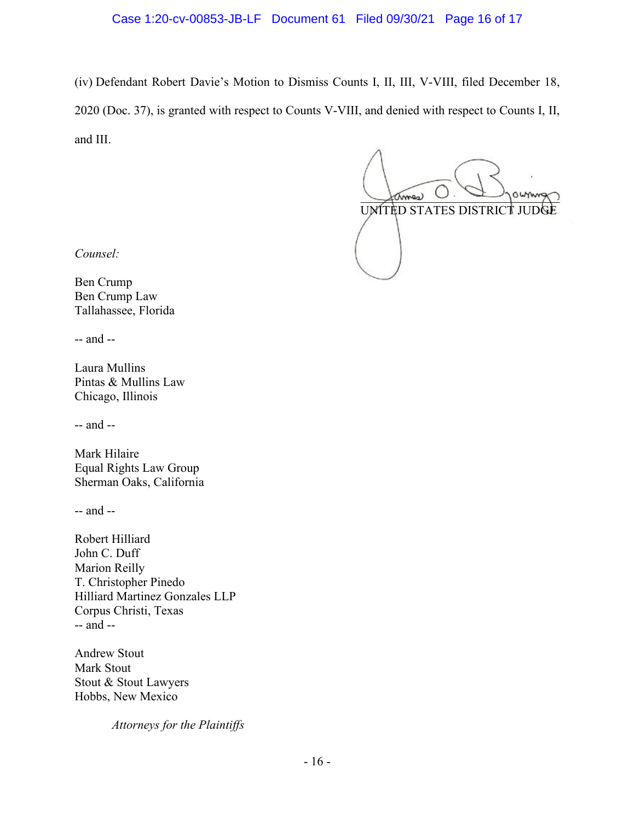## Case 1:20-cv-00853-JB-LF Document 61 Filed 09/30/21 Page 16 of 17

(iv) Defendant Robert Davie's Motion to Dismiss Counts I, II, III, V-VIII, filed December 18, 2020 (Doc. 37), is granted with respect to Counts V-VIII, and denied with respect to Counts I, II, and III.

 $\chi_{\text{max}}$ UNITED STATES DISTRICT JUD

*Counsel:*

Ben Crump Ben Crump Law Tallahassee, Florida

-- and --

Laura Mullins Pintas & Mullins Law Chicago, Illinois

-- and --

Mark Hilaire Equal Rights Law Group Sherman Oaks, California

-- and --

Robert Hilliard John C. Duff Marion Reilly T. Christopher Pinedo Hilliard Martinez Gonzales LLP Corpus Christi, Texas -- and --

Andrew Stout Mark Stout Stout & Stout Lawyers Hobbs, New Mexico

*Attorneys for the Plaintiffs*